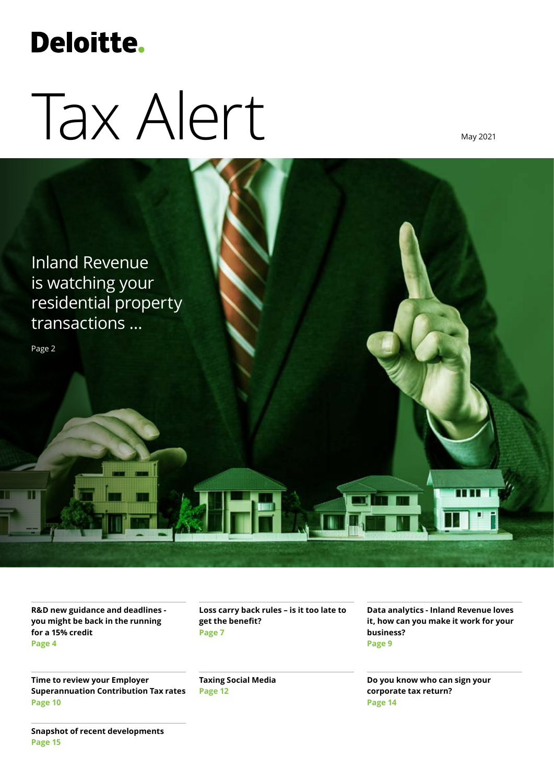# **Deloitte.**

# Tax Alert

May 2021



**R&D new guidance and deadlines you might be back in the running for a 15% credit Page 4**

**Time to review your Employer Superannuation Contribution Tax rates Page 10**

**Loss carry back rules – is it too late to get the benefit? Page 7**

**Taxing Social Media Page 12**

**Data analytics - Inland Revenue loves it, how can you make it work for your business? Page 9**

**Do you know who can sign your corporate tax return? Page 14**

**Snapshot of recent developments Page 15**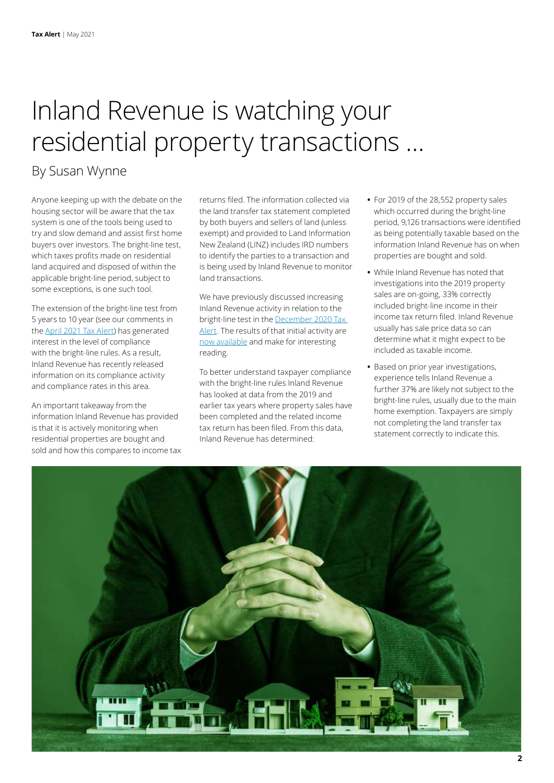### Inland Revenue is watching your residential property transactions …

### By Susan Wynne

Anyone keeping up with the debate on the housing sector will be aware that the tax system is one of the tools being used to try and slow demand and assist first home buyers over investors. The bright-line test, which taxes profits made on residential land acquired and disposed of within the applicable bright-line period, subject to some exceptions, is one such tool.

The extension of the bright-line test from 5 years to 10 year (see our comments in the [April 2021 Tax Alert](https://www2.deloitte.com/nz/en/pages/tax/articles/changes-to-the-property-tax-landscape.html)) has generated interest in the level of compliance with the bright-line rules. As a result, Inland Revenue has recently released information on its compliance activity and compliance rates in this area.

An important takeaway from the information Inland Revenue has provided is that it is actively monitoring when residential properties are bought and sold and how this compares to income tax returns filed. The information collected via the land transfer tax statement completed by both buyers and sellers of land (unless exempt) and provided to Land Information New Zealand (LINZ) includes IRD numbers to identify the parties to a transaction and is being used by Inland Revenue to monitor land transactions.

We have previously discussed increasing Inland Revenue activity in relation to the bright-line test in the [December 2020 Tax](https://www2.deloitte.com/nz/en/pages/tax-alerts/articles/inland-revenue-steps-up-activity-on-taxing-house-sales.html?nc=1)  [Alert](https://www2.deloitte.com/nz/en/pages/tax-alerts/articles/inland-revenue-steps-up-activity-on-taxing-house-sales.html?nc=1). The results of that initial activity are [now available](https://media.ird.govt.nz/articles/compliance-with-the-bright-line-test/) and make for interesting reading.

To better understand taxpayer compliance with the bright-line rules Inland Revenue has looked at data from the 2019 and earlier tax years where property sales have been completed and the related income tax return has been filed. From this data, Inland Revenue has determined:

- **•** For 2019 of the 28,552 property sales which occurred during the bright-line period, 9,126 transactions were identified as being potentially taxable based on the information Inland Revenue has on when properties are bought and sold.
- **•** While Inland Revenue has noted that investigations into the 2019 property sales are on-going, 33% correctly included bright-line income in their income tax return filed. Inland Revenue usually has sale price data so can determine what it might expect to be included as taxable income.
- **•** Based on prior year investigations, experience tells Inland Revenue a further 37% are likely not subject to the bright-line rules, usually due to the main home exemption. Taxpayers are simply not completing the land transfer tax statement correctly to indicate this.

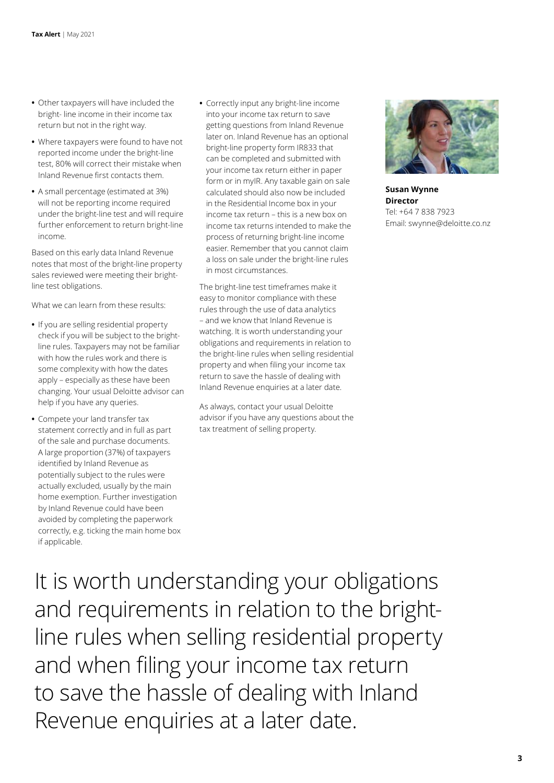- **•** Other taxpayers will have included the bright- line income in their income tax return but not in the right way.
- **•** Where taxpayers were found to have not reported income under the bright-line test, 80% will correct their mistake when Inland Revenue first contacts them.
- **•** A small percentage (estimated at 3%) will not be reporting income required under the bright-line test and will require further enforcement to return bright-line income.

Based on this early data Inland Revenue notes that most of the bright-line property sales reviewed were meeting their brightline test obligations.

What we can learn from these results:

- **•** If you are selling residential property check if you will be subject to the brightline rules. Taxpayers may not be familiar with how the rules work and there is some complexity with how the dates apply – especially as these have been changing. Your usual Deloitte advisor can help if you have any queries.
- **•** Compete your land transfer tax statement correctly and in full as part of the sale and purchase documents. A large proportion (37%) of taxpayers identified by Inland Revenue as potentially subject to the rules were actually excluded, usually by the main home exemption. Further investigation by Inland Revenue could have been avoided by completing the paperwork correctly, e.g. ticking the main home box if applicable.

**•** Correctly input any bright-line income into your income tax return to save getting questions from Inland Revenue later on. Inland Revenue has an optional bright-line property form IR833 that can be completed and submitted with your income tax return either in paper form or in myIR. Any taxable gain on sale calculated should also now be included in the Residential Income box in your income tax return – this is a new box on income tax returns intended to make the process of returning bright-line income easier. Remember that you cannot claim a loss on sale under the bright-line rules in most circumstances.

The bright-line test timeframes make it easy to monitor compliance with these rules through the use of data analytics – and we know that Inland Revenue is watching. It is worth understanding your obligations and requirements in relation to the bright-line rules when selling residential property and when filing your income tax return to save the hassle of dealing with Inland Revenue enquiries at a later date.

As always, contact your usual Deloitte advisor if you have any questions about the tax treatment of selling property.



**Susan Wynne Director** Tel: +64 7 838 7923 Email: swynne@deloitte.co.nz

It is worth understanding your obligations and requirements in relation to the brightline rules when selling residential property and when filing your income tax return to save the hassle of dealing with Inland Revenue enquiries at a later date.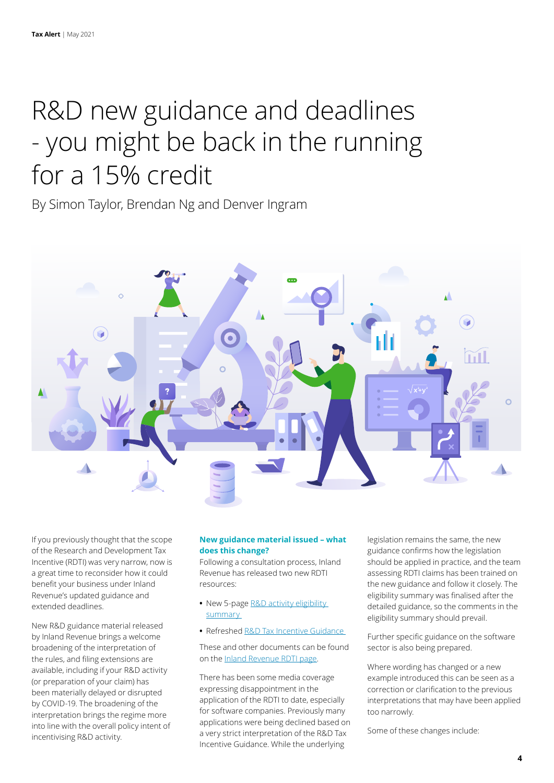### R&D new guidance and deadlines - you might be back in the running for a 15% credit

By Simon Taylor, Brendan Ng and Denver Ingram



If you previously thought that the scope of the Research and Development Tax Incentive (RDTI) was very narrow, now is a great time to reconsider how it could benefit your business under Inland Revenue's updated guidance and extended deadlines.

New R&D guidance material released by Inland Revenue brings a welcome broadening of the interpretation of the rules, and filing extensions are available, including if your R&D activity (or preparation of your claim) has been materially delayed or disrupted by COVID-19. The broadening of the interpretation brings the regime more into line with the overall policy intent of incentivising R&D activity.

#### **New guidance material issued – what does this change?**

Following a consultation process, Inland Revenue has released two new RDTI resources:

- **•** New 5-page [R&D activity eligibility](https://www.ird.govt.nz/-/media/project/ir/home/documents/research-and-development/r-and-d-eligibility-and-activity/r-and-d-credit-eligible-r-and-d-activity.pdf)  [summary](https://www.ird.govt.nz/-/media/project/ir/home/documents/research-and-development/r-and-d-eligibility-and-activity/r-and-d-credit-eligible-r-and-d-activity.pdf)
- **•** Refreshed [R&D Tax Incentive Guidance](https://www.ird.govt.nz/-/media/project/ir/home/documents/forms-and-guides/ir1200---ir1299/ir1240/research-and-development-tax-incentive-guidance---2021.pdf)

These and other documents can be found on the [Inland Revenue RDTI page](https://www.ird.govt.nz/research-and-development/tax-incentive).

There has been some media coverage expressing disappointment in the application of the RDTI to date, especially for software companies. Previously many applications were being declined based on a very strict interpretation of the R&D Tax Incentive Guidance. While the underlying

legislation remains the same, the new guidance confirms how the legislation should be applied in practice, and the team assessing RDTI claims has been trained on the new guidance and follow it closely. The eligibility summary was finalised after the detailed guidance, so the comments in the eligibility summary should prevail.

Further specific guidance on the software sector is also being prepared.

Where wording has changed or a new example introduced this can be seen as a correction or clarification to the previous interpretations that may have been applied too narrowly.

Some of these changes include: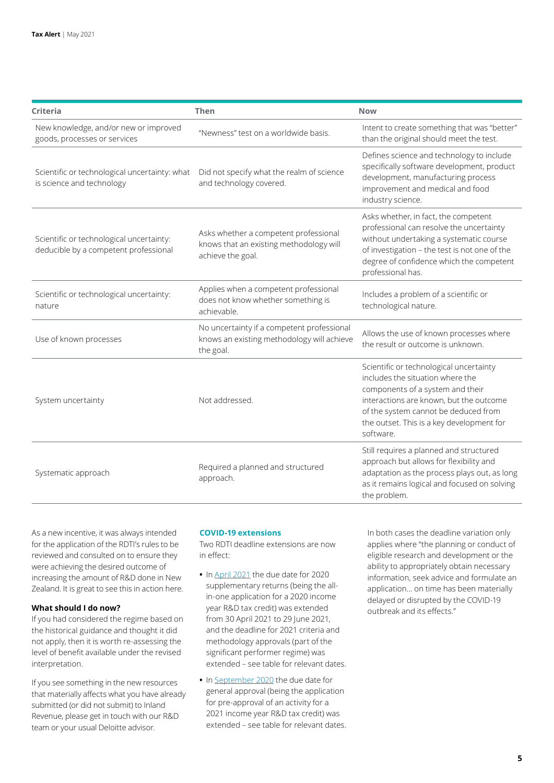| <b>Criteria</b>                                                                   | Then                                                                                                  | <b>Now</b>                                                                                                                                                                                                                                                   |
|-----------------------------------------------------------------------------------|-------------------------------------------------------------------------------------------------------|--------------------------------------------------------------------------------------------------------------------------------------------------------------------------------------------------------------------------------------------------------------|
| New knowledge, and/or new or improved<br>goods, processes or services             | "Newness" test on a worldwide basis.                                                                  | Intent to create something that was "better"<br>than the original should meet the test.                                                                                                                                                                      |
| Scientific or technological uncertainty: what<br>is science and technology        | Did not specify what the realm of science<br>and technology covered.                                  | Defines science and technology to include<br>specifically software development, product<br>development, manufacturing process<br>improvement and medical and food<br>industry science.                                                                       |
| Scientific or technological uncertainty:<br>deducible by a competent professional | Asks whether a competent professional<br>knows that an existing methodology will<br>achieve the goal. | Asks whether, in fact, the competent<br>professional can resolve the uncertainty<br>without undertaking a systematic course<br>of investigation - the test is not one of the<br>degree of confidence which the competent<br>professional has.                |
| Scientific or technological uncertainty:<br>nature                                | Applies when a competent professional<br>does not know whether something is<br>achievable.            | Includes a problem of a scientific or<br>technological nature.                                                                                                                                                                                               |
| Use of known processes                                                            | No uncertainty if a competent professional<br>knows an existing methodology will achieve<br>the goal. | Allows the use of known processes where<br>the result or outcome is unknown.                                                                                                                                                                                 |
| System uncertainty                                                                | Not addressed.                                                                                        | Scientific or technological uncertainty<br>includes the situation where the<br>components of a system and their<br>interactions are known, but the outcome<br>of the system cannot be deduced from<br>the outset. This is a key development for<br>software. |
| Systematic approach                                                               | Required a planned and structured<br>approach.                                                        | Still requires a planned and structured<br>approach but allows for flexibility and<br>adaptation as the process plays out, as long<br>as it remains logical and focused on solving<br>the problem.                                                           |

As a new incentive, it was always intended for the application of the RDTI's rules to be reviewed and consulted on to ensure they were achieving the desired outcome of increasing the amount of R&D done in New Zealand. It is great to see this in action here.

#### **What should I do now?**

If you had considered the regime based on the historical guidance and thought it did not apply, then it is worth re-assessing the level of benefit available under the revised interpretation.

If you see something in the new resources that materially affects what you have already submitted (or did not submit) to Inland Revenue, please get in touch with our R&D team or your usual Deloitte advisor.

#### **COVID-19 extensions**

Two RDTI deadline extensions are now in effect:

- **•** In [April 2021](https://www.taxtechnical.ird.govt.nz/-/media/project/ir/tt/pdfs/determinations/covid-19-variation/cov-21-01.pdf?la=en) the due date for 2020 supplementary returns (being the allin-one application for a 2020 income year R&D tax credit) was extended from 30 April 2021 to 29 June 2021, and the deadline for 2021 criteria and methodology approvals (part of the significant performer regime) was extended – see table for relevant dates.
- **•** In [September 2020](https://www.taxtechnical.ird.govt.nz/-/media/project/ir/tt/pdfs/determinations/covid-19-variation/cov-20-10.pdf?la=en) the due date for general approval (being the application for pre-approval of an activity for a 2021 income year R&D tax credit) was extended – see table for relevant dates.

In both cases the deadline variation only applies where "the planning or conduct of eligible research and development or the ability to appropriately obtain necessary information, seek advice and formulate an application… on time has been materially delayed or disrupted by the COVID-19 outbreak and its effects."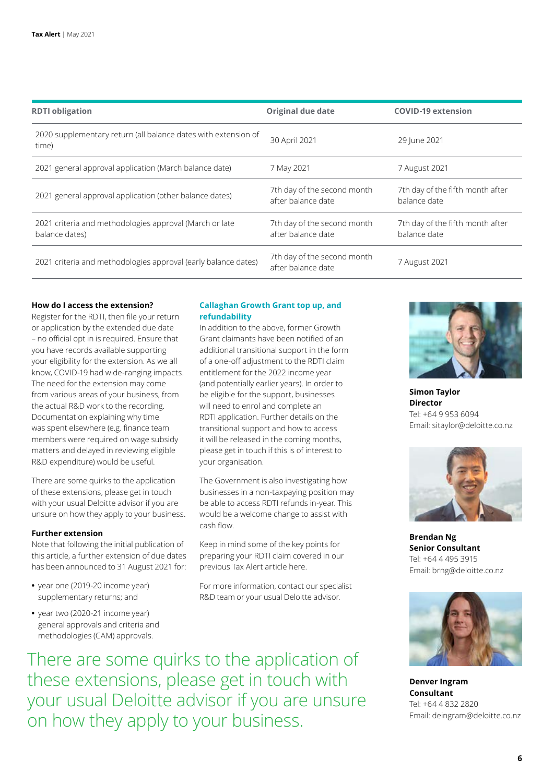| <b>RDTI</b> obligation                                                    | <b>Original due date</b>                          | <b>COVID-19 extension</b>                        |
|---------------------------------------------------------------------------|---------------------------------------------------|--------------------------------------------------|
| 2020 supplementary return (all balance dates with extension of<br>time)   | 30 April 2021                                     | 29 June 2021                                     |
| 2021 general approval application (March balance date)                    | 7 May 2021                                        | 7 August 2021                                    |
| 2021 general approval application (other balance dates)                   | 7th day of the second month<br>after balance date | 7th day of the fifth month after<br>balance date |
| 2021 criteria and methodologies approval (March or late<br>balance dates) | 7th day of the second month<br>after balance date | 7th day of the fifth month after<br>balance date |
| 2021 criteria and methodologies approval (early balance dates)            | 7th day of the second month<br>after balance date | 7 August 2021                                    |

#### **How do I access the extension?**

Register for the RDTI, then file your return or application by the extended due date – no official opt in is required. Ensure that you have records available supporting your eligibility for the extension. As we all know, COVID-19 had wide-ranging impacts. The need for the extension may come from various areas of your business, from the actual R&D work to the recording. Documentation explaining why time was spent elsewhere (e.g. finance team members were required on wage subsidy matters and delayed in reviewing eligible R&D expenditure) would be useful.

There are some quirks to the application of these extensions, please get in touch with your usual Deloitte advisor if you are unsure on how they apply to your business.

#### **Further extension**

Note that following the initial publication of this article, a further extension of due dates has been announced to 31 August 2021 for:

- **•** year one (2019-20 income year) supplementary returns; and
- **•** year two (2020-21 income year) general approvals and criteria and methodologies (CAM) approvals.

#### **Callaghan Growth Grant top up, and refundability**

In addition to the above, former Growth Grant claimants have been notified of an additional transitional support in the form of a one-off adjustment to the RDTI claim entitlement for the 2022 income year (and potentially earlier years). In order to be eligible for the support, businesses will need to enrol and complete an RDTI application. Further details on the transitional support and how to access it will be released in the coming months, please get in touch if this is of interest to your organisation.

The Government is also investigating how businesses in a non-taxpaying position may be able to access RDTI refunds in-year. This would be a welcome change to assist with cash flow.

Keep in mind some of the key points for preparing your RDTI claim covered in our previous Tax Alert article here.

For more information, contact our specialist R&D team or your usual Deloitte advisor.



**Simon Taylor Director** Tel: +64 9 953 6094 Email: sitaylor@deloitte.co.nz



**Brendan Ng Senior Consultant** Tel: +64 4 495 3915 Email: brng@deloitte.co.nz



**Denver Ingram Consultant** Tel: +64 4 832 2820 Email: deingram@deloitte.co.nz

There are some quirks to the application of these extensions, please get in touch with your usual Deloitte advisor if you are unsure on how they apply to your business.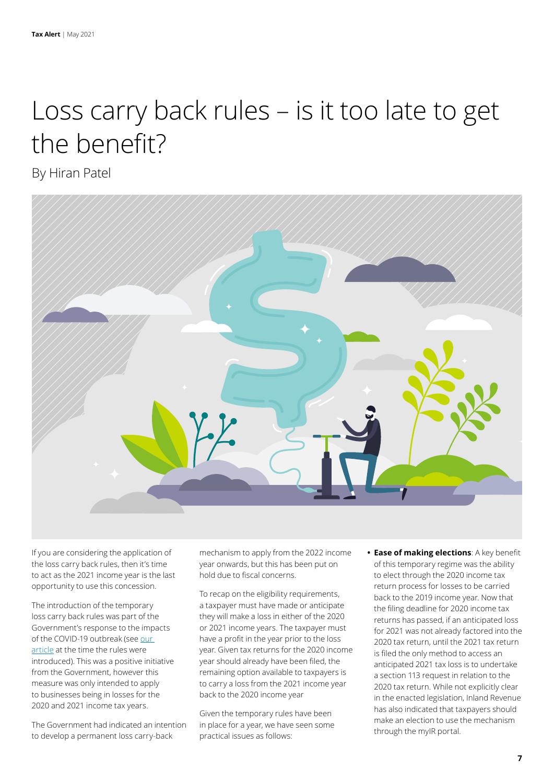### Loss carry back rules – is it too late to get the benefit?

By Hiran Patel



If you are considering the application of the loss carry back rules, then it's time to act as the 2021 income year is the last opportunity to use this concession.

The introduction of the temporary loss carry back rules was part of the Government's response to the impacts of the COVID-19 outbreak (see [our](https://www2.deloitte.com/nz/en/pages/tax/articles/loss-carry-back-rules.html)  [article](https://www2.deloitte.com/nz/en/pages/tax/articles/loss-carry-back-rules.html) at the time the rules were introduced). This was a positive initiative from the Government, however this measure was only intended to apply to businesses being in losses for the 2020 and 2021 income tax years.

The Government had indicated an intention to develop a permanent loss carry-back

mechanism to apply from the 2022 income year onwards, but this has been put on hold due to fiscal concerns.

To recap on the eligibility requirements, a taxpayer must have made or anticipate they will make a loss in either of the 2020 or 2021 income years. The taxpayer must have a profit in the year prior to the loss year. Given tax returns for the 2020 income year should already have been filed, the remaining option available to taxpayers is to carry a loss from the 2021 income year back to the 2020 income year

Given the temporary rules have been in place for a year, we have seen some practical issues as follows:

**• Ease of making elections**: A key benefit of this temporary regime was the ability to elect through the 2020 income tax return process for losses to be carried back to the 2019 income year. Now that the filing deadline for 2020 income tax returns has passed, if an anticipated loss for 2021 was not already factored into the 2020 tax return, until the 2021 tax return is filed the only method to access an anticipated 2021 tax loss is to undertake a section 113 request in relation to the 2020 tax return. While not explicitly clear in the enacted legislation, Inland Revenue has also indicated that taxpayers should make an election to use the mechanism through the myIR portal.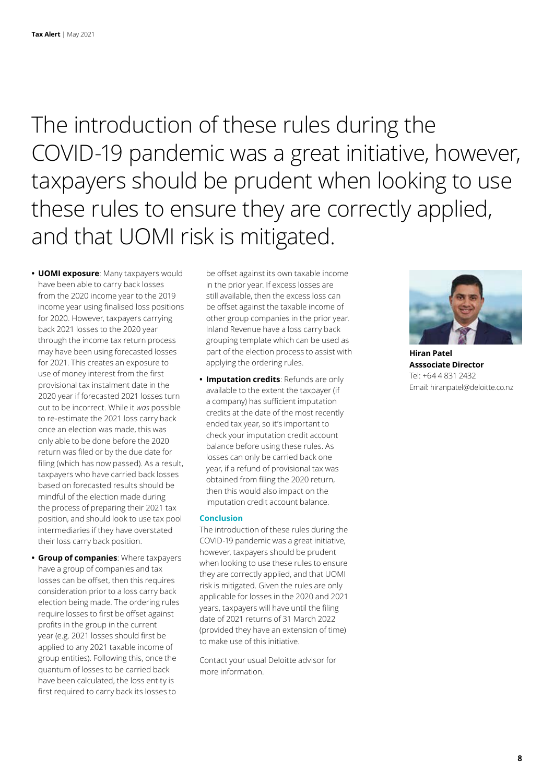The introduction of these rules during the COVID-19 pandemic was a great initiative, however, taxpayers should be prudent when looking to use these rules to ensure they are correctly applied, and that UOMI risk is mitigated.

**• UOMI exposure**: Many taxpayers would have been able to carry back losses from the 2020 income year to the 2019 income year using finalised loss positions for 2020. However, taxpayers carrying back 2021 losses to the 2020 year through the income tax return process may have been using forecasted losses for 2021. This creates an exposure to use of money interest from the first provisional tax instalment date in the 2020 year if forecasted 2021 losses turn out to be incorrect. While it *was* possible to re-estimate the 2021 loss carry back once an election was made, this was only able to be done before the 2020 return was filed or by the due date for filing (which has now passed). As a result, taxpayers who have carried back losses based on forecasted results should be mindful of the election made during the process of preparing their 2021 tax position, and should look to use tax pool intermediaries if they have overstated their loss carry back position.

**• Group of companies**: Where taxpayers have a group of companies and tax losses can be offset, then this requires consideration prior to a loss carry back election being made. The ordering rules require losses to first be offset against profits in the group in the current year (e.g. 2021 losses should first be applied to any 2021 taxable income of group entities). Following this, once the quantum of losses to be carried back have been calculated, the loss entity is first required to carry back its losses to

be offset against its own taxable income in the prior year. If excess losses are still available, then the excess loss can be offset against the taxable income of other group companies in the prior year. Inland Revenue have a loss carry back grouping template which can be used as part of the election process to assist with applying the ordering rules.

**• Imputation credits**: Refunds are only available to the extent the taxpayer (if a company) has sufficient imputation credits at the date of the most recently ended tax year, so it's important to check your imputation credit account balance before using these rules. As losses can only be carried back one year, if a refund of provisional tax was obtained from filing the 2020 return, then this would also impact on the imputation credit account balance.

#### **Conclusion**

The introduction of these rules during the COVID-19 pandemic was a great initiative, however, taxpayers should be prudent when looking to use these rules to ensure they are correctly applied, and that UOMI risk is mitigated. Given the rules are only applicable for losses in the 2020 and 2021 years, taxpayers will have until the filing date of 2021 returns of 31 March 2022 (provided they have an extension of time) to make use of this initiative.

Contact your usual Deloitte advisor for more information.



**Hiran Patel Asssociate Director** Tel: +64 4 831 2432 Email: hiranpatel@deloitte.co.nz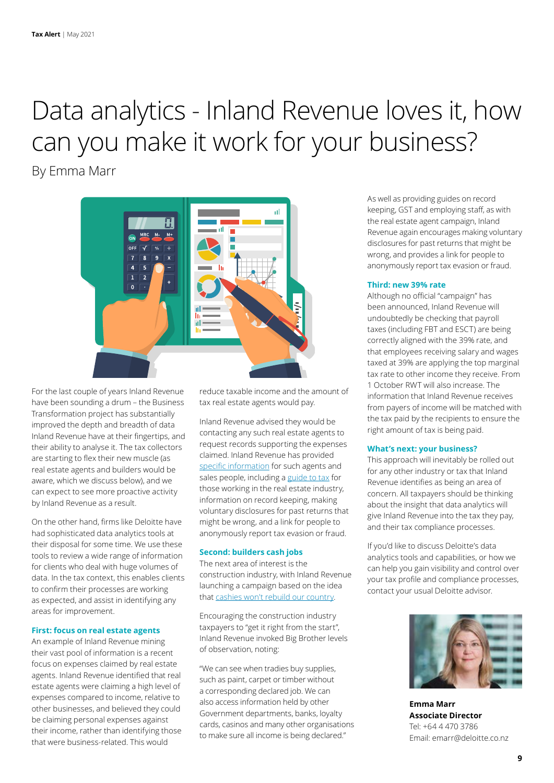# Data analytics - Inland Revenue loves it, how can you make it work for your business?

By Emma Marr



For the last couple of years Inland Revenue have been sounding a drum – the Business Transformation project has substantially improved the depth and breadth of data Inland Revenue have at their fingertips, and their ability to analyse it. The tax collectors are starting to flex their new muscle (as real estate agents and builders would be aware, which we discuss below), and we can expect to see more proactive activity by Inland Revenue as a result.

On the other hand, firms like Deloitte have had sophisticated data analytics tools at their disposal for some time. We use these tools to review a wide range of information for clients who deal with huge volumes of data. In the tax context, this enables clients to confirm their processes are working as expected, and assist in identifying any areas for improvement.

#### **First: focus on real estate agents**

An example of Inland Revenue mining their vast pool of information is a recent focus on expenses claimed by real estate agents. Inland Revenue identified that real estate agents were claiming a high level of expenses compared to income, relative to other businesses, and believed they could be claiming personal expenses against their income, rather than identifying those that were business-related. This would

reduce taxable income and the amount of tax real estate agents would pay.

Inland Revenue advised they would be contacting any such real estate agents to request records supporting the expenses claimed. Inland Revenue has provided [specific information](https://www.ird.govt.nz/pages/campaigns/real-estate-agents) for such agents and sales people, including a [guide to tax](https://www.ird.govt.nz/-/media/project/ir/home/documents/forms-and-guides/ir800---ir899/ir830/ir830-2021.pdf) for those working in the real estate industry, information on record keeping, making voluntary disclosures for past returns that might be wrong, and a link for people to anonymously report tax evasion or fraud.

#### **Second: builders cash jobs**

The next area of interest is the construction industry, with Inland Revenue launching a campaign based on the idea that [cashies won't rebuild our country.](https://www.ird.govt.nz/rebuild-nz)

Encouraging the construction industry taxpayers to "get it right from the start", Inland Revenue invoked Big Brother levels of observation, noting:

"We can see when tradies buy supplies, such as paint, carpet or timber without a corresponding declared job. We can also access information held by other Government departments, banks, loyalty cards, casinos and many other organisations to make sure all income is being declared."

As well as providing guides on record keeping, GST and employing staff, as with the real estate agent campaign, Inland Revenue again encourages making voluntary disclosures for past returns that might be wrong, and provides a link for people to anonymously report tax evasion or fraud.

#### **Third: new 39% rate**

Although no official "campaign" has been announced, Inland Revenue will undoubtedly be checking that payroll taxes (including FBT and ESCT) are being correctly aligned with the 39% rate, and that employees receiving salary and wages taxed at 39% are applying the top marginal tax rate to other income they receive. From 1 October RWT will also increase. The information that Inland Revenue receives from payers of income will be matched with the tax paid by the recipients to ensure the right amount of tax is being paid.

#### **What's next: your business?**

This approach will inevitably be rolled out for any other industry or tax that Inland Revenue identifies as being an area of concern. All taxpayers should be thinking about the insight that data analytics will give Inland Revenue into the tax they pay, and their tax compliance processes.

If you'd like to discuss Deloitte's data analytics tools and capabilities, or how we can help you gain visibility and control over your tax profile and compliance processes, contact your usual Deloitte advisor.



**Emma Marr Associate Director** Tel: +64 4 470 3786 Email: emarr@deloitte.co.nz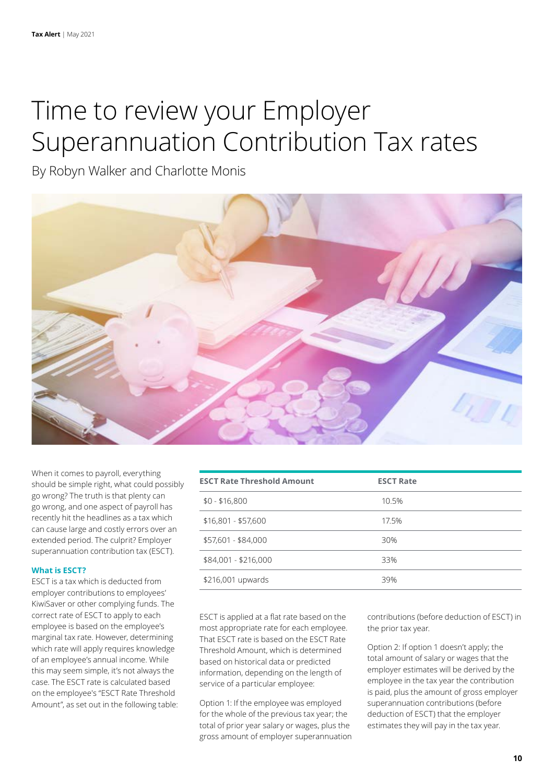### Time to review your Employer Superannuation Contribution Tax rates

By Robyn Walker and Charlotte Monis



When it comes to payroll, everything should be simple right, what could possibly go wrong? The truth is that plenty can go wrong, and one aspect of payroll has recently hit the headlines as a tax which can cause large and costly errors over an extended period. The culprit? Employer superannuation contribution tax (ESCT).

#### **What is ESCT?**

ESCT is a tax which is deducted from employer contributions to employees' KiwiSaver or other complying funds. The correct rate of ESCT to apply to each employee is based on the employee's marginal tax rate. However, determining which rate will apply requires knowledge of an employee's annual income. While this may seem simple, it's not always the case. The ESCT rate is calculated based on the employee's "ESCT Rate Threshold Amount", as set out in the following table:

| <b>ESCT Rate Threshold Amount</b> | <b>ESCT Rate</b> |  |
|-----------------------------------|------------------|--|
| $$0 - $16,800$                    | 10.5%            |  |
| $$16,801 - $57,600$               | 17.5%            |  |
| \$57,601 - \$84,000               | 30%              |  |
| \$84,001 - \$216,000              | 33%              |  |
| \$216,001 upwards                 | 39%              |  |

ESCT is applied at a flat rate based on the most appropriate rate for each employee. That ESCT rate is based on the ESCT Rate Threshold Amount, which is determined based on historical data or predicted information, depending on the length of service of a particular employee:

Option 1: If the employee was employed for the whole of the previous tax year; the total of prior year salary or wages, plus the gross amount of employer superannuation contributions (before deduction of ESCT) in the prior tax year.

Option 2: If option 1 doesn't apply; the total amount of salary or wages that the employer estimates will be derived by the employee in the tax year the contribution is paid, plus the amount of gross employer superannuation contributions (before deduction of ESCT) that the employer estimates they will pay in the tax year.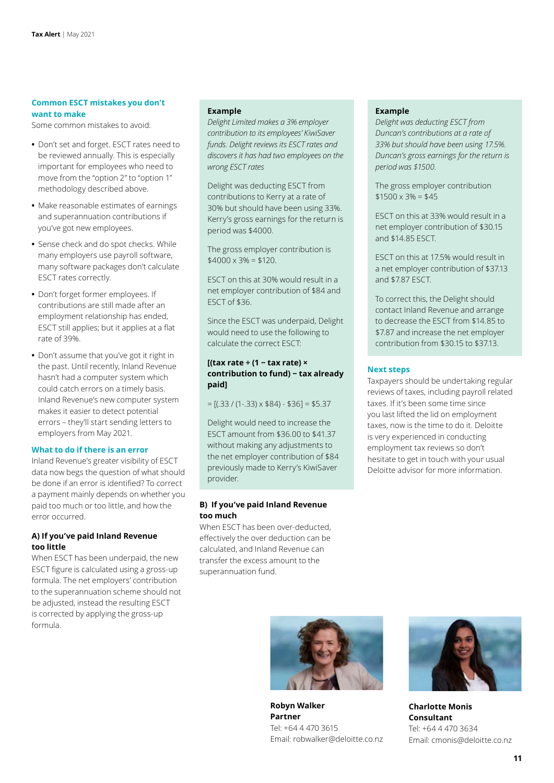#### **Common ESCT mistakes you don't want to make**

Some common mistakes to avoid:

- **•** Don't set and forget. ESCT rates need to be reviewed annually. This is especially important for employees who need to move from the "option 2" to "option 1" methodology described above.
- **•** Make reasonable estimates of earnings and superannuation contributions if you've got new employees.
- **•** Sense check and do spot checks. While many employers use payroll software, many software packages don't calculate ESCT rates correctly.
- **•** Don't forget former employees. If contributions are still made after an employment relationship has ended, ESCT still applies; but it applies at a flat rate of 39%.
- **•** Don't assume that you've got it right in the past. Until recently, Inland Revenue hasn't had a computer system which could catch errors on a timely basis. Inland Revenue's new computer system makes it easier to detect potential errors – they'll start sending letters to employers from May 2021.

#### **What to do if there is an error**

Inland Revenue's greater visibility of ESCT data now begs the question of what should be done if an error is identified? To correct a payment mainly depends on whether you paid too much or too little, and how the error occurred.

#### **A) If you've paid Inland Revenue too little**

When ESCT has been underpaid, the new ESCT figure is calculated using a gross-up formula. The net employers' contribution to the superannuation scheme should not be adjusted, instead the resulting ESCT is corrected by applying the gross-up formula.

#### **Example**

*Delight Limited makes a 3% employer contribution to its employees' KiwiSaver funds. Delight reviews its ESCT rates and discovers it has had two employees on the wrong ESCT rates*

Delight was deducting ESCT from contributions to Kerry at a rate of 30% but should have been using 33%. Kerry's gross earnings for the return is period was \$4000.

The gross employer contribution is  $$4000 \times 3\% = $120$ .

ESCT on this at 30% would result in a net employer contribution of \$84 and ESCT of \$36.

Since the ESCT was underpaid, Delight would need to use the following to calculate the correct ESCT:

#### **[(tax rate ÷ (1 − tax rate) × contribution to fund) − tax already paid]**

 $= [(.33 / (1-.33) \times $84) - $36] = $5.37$ 

Delight would need to increase the ESCT amount from \$36.00 to \$41.37 without making any adjustments to the net employer contribution of \$84 previously made to Kerry's KiwiSaver provider.

#### **B) If you've paid Inland Revenue too much**

When ESCT has been over-deducted, effectively the over deduction can be calculated, and Inland Revenue can transfer the excess amount to the superannuation fund.

#### **Example**

*Delight was deducting ESCT from Duncan's contributions at a rate of 33% but should have been using 17.5%. Duncan's gross earnings for the return is period was \$1500.* 

The gross employer contribution  $$1500 \times 3\% = $45$ 

ESCT on this at 33% would result in a net employer contribution of \$30.15 and \$14.85 ESCT.

ESCT on this at 17.5% would result in a net employer contribution of \$37.13 and \$7.87 ESCT.

To correct this, the Delight should contact Inland Revenue and arrange to decrease the ESCT from \$14.85 to \$7.87 and increase the net employer contribution from \$30.15 to \$37.13.

#### **Next steps**

Taxpayers should be undertaking regular reviews of taxes, including payroll related taxes. If it's been some time since you last lifted the lid on employment taxes, now is the time to do it. Deloitte is very experienced in conducting employment tax reviews so don't hesitate to get in touch with your usual Deloitte advisor for more information.



**Robyn Walker Partner** Tel: +64 4 470 3615 Email: robwalker@deloitte.co.nz



**Charlotte Monis Consultant** Tel: +64 4 470 3634 Email: cmonis@deloitte.co.nz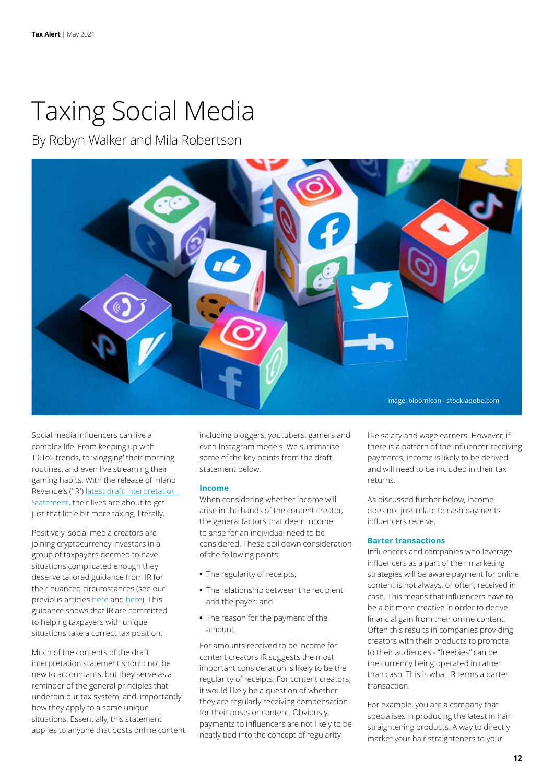### Taxing Social Media

By Robyn Walker and Mila Robertson



Social media influencers can live a complex life. From keeping up with TikTok trends, to 'vlogging' their morning routines, and even live streaming their gaming habits. With the release of Inland Revenue's ('IR') [latest draft Interpretation](https://www.taxtechnical.ird.govt.nz/-/media/project/ir/tt/pdfs/consultations/current-consultations/pub00365.pdf)  [Statement,](https://www.taxtechnical.ird.govt.nz/-/media/project/ir/tt/pdfs/consultations/current-consultations/pub00365.pdf) their lives are about to get just that little bit more taxing, literally.

Positively, social media creators are joining cryptocurrency investors in a group of taxpayers deemed to have situations complicated enough they deserve tailored guidance from IR for their nuanced circumstances (see our previous articles [here](https://www2.deloitte.com/nz/en/pages/tax-alerts/articles/investing-in-cryptocurrency.html) and [here\)](https://www2.deloitte.com/nz/en/pages/tax-alerts/articles/guidance-on-cryptoassets.html). This guidance shows that IR are committed to helping taxpayers with unique situations take a correct tax position.

Much of the contents of the draft interpretation statement should not be new to accountants, but they serve as a reminder of the general principles that underpin our tax system, and, importantly how they apply to a some unique situations. Essentially, this statement applies to anyone that posts online content including bloggers, youtubers, gamers and even Instagram models. We summarise some of the key points from the draft statement below.

#### **Income**

When considering whether income will arise in the hands of the content creator, the general factors that deem income to arise for an individual need to be considered. These boil down consideration of the following points:

- **•** The regularity of receipts;
- **•** The relationship between the recipient and the payer; and
- **•** The reason for the payment of the amount.

For amounts received to be income for content creators IR suggests the most important consideration is likely to be the regularity of receipts. For content creators, it would likely be a question of whether they are regularly receiving compensation for their posts or content. Obviously, payments to influencers are not likely to be neatly tied into the concept of regularity

like salary and wage earners. However, if there is a pattern of the influencer receiving payments, income is likely to be derived and will need to be included in their tax returns.

As discussed further below, income does not just relate to cash payments influencers receive.

#### **Barter transactions**

Influencers and companies who leverage influencers as a part of their marketing strategies will be aware payment for online content is not always, or often, received in cash. This means that influencers have to be a bit more creative in order to derive financial gain from their online content. Often this results in companies providing creators with their products to promote to their audiences - "freebies" can be the currency being operated in rather than cash. This is what IR terms a barter transaction.

For example, you are a company that specialises in producing the latest in hair straightening products. A way to directly market your hair straighteners to your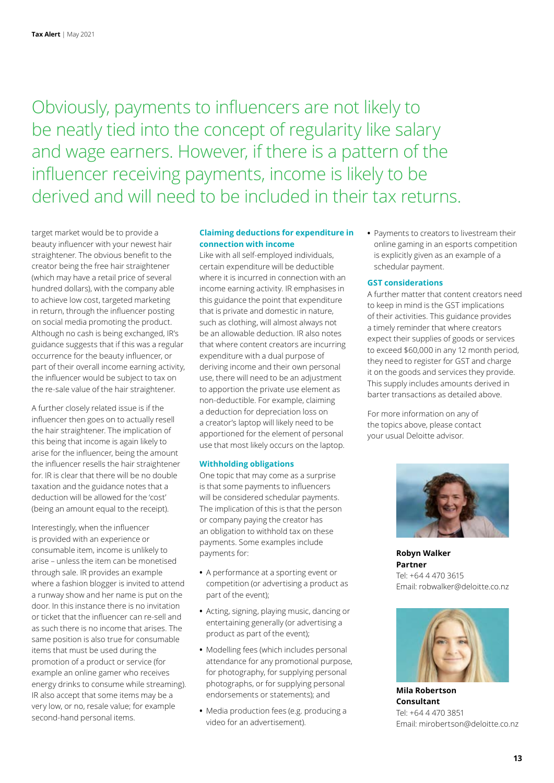Obviously, payments to influencers are not likely to be neatly tied into the concept of regularity like salary and wage earners. However, if there is a pattern of the influencer receiving payments, income is likely to be derived and will need to be included in their tax returns.

target market would be to provide a beauty influencer with your newest hair straightener. The obvious benefit to the creator being the free hair straightener (which may have a retail price of several hundred dollars), with the company able to achieve low cost, targeted marketing in return, through the influencer posting on social media promoting the product. Although no cash is being exchanged, IR's guidance suggests that if this was a regular occurrence for the beauty influencer, or part of their overall income earning activity, the influencer would be subject to tax on the re-sale value of the hair straightener.

A further closely related issue is if the influencer then goes on to actually resell the hair straightener. The implication of this being that income is again likely to arise for the influencer, being the amount the influencer resells the hair straightener for. IR is clear that there will be no double taxation and the guidance notes that a deduction will be allowed for the 'cost' (being an amount equal to the receipt).

Interestingly, when the influencer is provided with an experience or consumable item, income is unlikely to arise – unless the item can be monetised through sale. IR provides an example where a fashion blogger is invited to attend a runway show and her name is put on the door. In this instance there is no invitation or ticket that the influencer can re-sell and as such there is no income that arises. The same position is also true for consumable items that must be used during the promotion of a product or service (for example an online gamer who receives energy drinks to consume while streaming). IR also accept that some items may be a very low, or no, resale value; for example second-hand personal items.

#### **Claiming deductions for expenditure in connection with income**

Like with all self-employed individuals, certain expenditure will be deductible where it is incurred in connection with an income earning activity. IR emphasises in this guidance the point that expenditure that is private and domestic in nature, such as clothing, will almost always not be an allowable deduction. IR also notes that where content creators are incurring expenditure with a dual purpose of deriving income and their own personal use, there will need to be an adjustment to apportion the private use element as non-deductible. For example, claiming a deduction for depreciation loss on a creator's laptop will likely need to be apportioned for the element of personal use that most likely occurs on the laptop.

#### **Withholding obligations**

One topic that may come as a surprise is that some payments to influencers will be considered schedular payments. The implication of this is that the person or company paying the creator has an obligation to withhold tax on these payments. Some examples include payments for:

- **•** A performance at a sporting event or competition (or advertising a product as part of the event);
- **•** Acting, signing, playing music, dancing or entertaining generally (or advertising a product as part of the event);
- **•** Modelling fees (which includes personal attendance for any promotional purpose, for photography, for supplying personal photographs, or for supplying personal endorsements or statements); and
- **•** Media production fees (e.g. producing a video for an advertisement).

**•** Payments to creators to livestream their online gaming in an esports competition is explicitly given as an example of a schedular payment.

#### **GST considerations**

A further matter that content creators need to keep in mind is the GST implications of their activities. This guidance provides a timely reminder that where creators expect their supplies of goods or services to exceed \$60,000 in any 12 month period, they need to register for GST and charge it on the goods and services they provide. This supply includes amounts derived in barter transactions as detailed above.

For more information on any of the topics above, please contact your usual Deloitte advisor.



**Robyn Walker Partner** Tel: +64 4 470 3615 Email: robwalker@deloitte.co.nz



**Mila Robertson Consultant** Tel: +64 4 470 3851 Email: mirobertson@deloitte.co.nz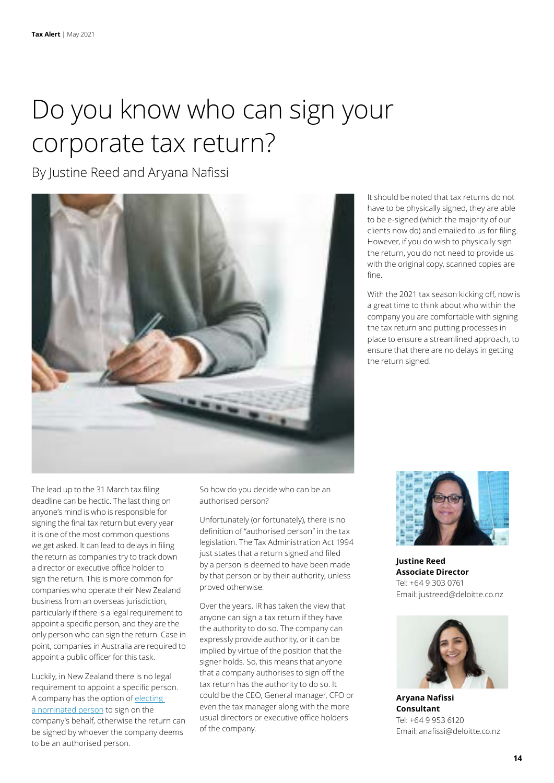### Do you know who can sign your corporate tax return?

By Justine Reed and Aryana Nafissi



The lead up to the 31 March tax filing deadline can be hectic. The last thing on anyone's mind is who is responsible for signing the final tax return but every year it is one of the most common questions we get asked. It can lead to delays in filing the return as companies try to track down a director or executive office holder to sign the return. This is more common for companies who operate their New Zealand business from an overseas jurisdiction, particularly if there is a legal requirement to appoint a specific person, and they are the only person who can sign the return. Case in point, companies in Australia are required to appoint a public officer for this task.

Luckily, in New Zealand there is no legal requirement to appoint a specific person. A company has the option of [electing](https://www.ird.govt.nz/managing-my-tax/getting-someone-to-act-on-my-behalf/nominated-person/let-someone-act-on-your-behalf)  [a nominated person](https://www.ird.govt.nz/managing-my-tax/getting-someone-to-act-on-my-behalf/nominated-person/let-someone-act-on-your-behalf) to sign on the company's behalf, otherwise the return can be signed by whoever the company deems to be an authorised person.

So how do you decide who can be an authorised person?

Unfortunately (or fortunately), there is no definition of "authorised person" in the tax legislation. The Tax Administration Act 1994 just states that a return signed and filed by a person is deemed to have been made by that person or by their authority, unless proved otherwise.

Over the years, IR has taken the view that anyone can sign a tax return if they have the authority to do so. The company can expressly provide authority, or it can be implied by virtue of the position that the signer holds. So, this means that anyone that a company authorises to sign off the tax return has the authority to do so. It could be the CEO, General manager, CFO or even the tax manager along with the more usual directors or executive office holders of the company.

It should be noted that tax returns do not have to be physically signed, they are able to be e-signed (which the majority of our clients now do) and emailed to us for filing. However, if you do wish to physically sign the return, you do not need to provide us with the original copy, scanned copies are fine.

With the 2021 tax season kicking off, now is a great time to think about who within the company you are comfortable with signing the tax return and putting processes in place to ensure a streamlined approach, to ensure that there are no delays in getting the return signed.



**Justine Reed Associate Director** Tel: +64 9 303 0761 Email: justreed@deloitte.co.nz



**Aryana Nafissi Consultant** Tel: +64 9 953 6120 Email: anafissi@deloitte.co.nz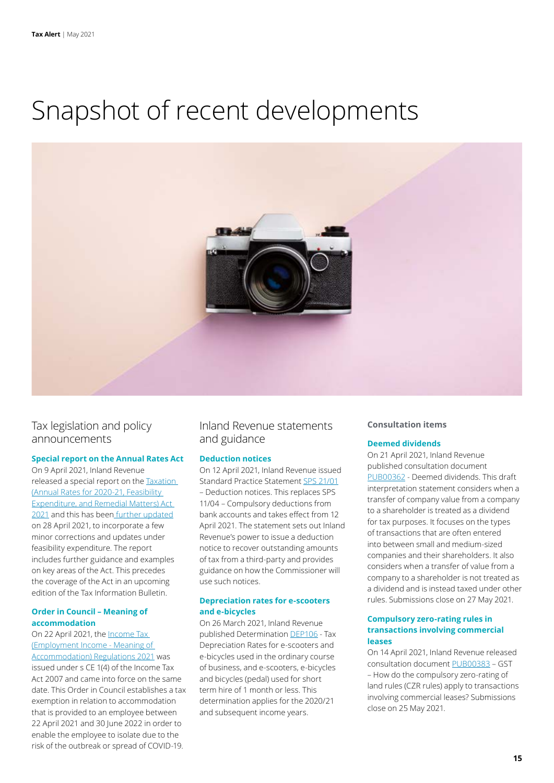### Snapshot of recent developments



### Tax legislation and policy announcements

#### **Special report on the Annual Rates Act**

On 9 April 2021, Inland Revenue released a special report on the [Taxation](https://www.legislation.govt.nz/act/public/2021/0008/latest/LMS352578.html)  [\(Annual Rates for 2020-21, Feasibility](https://www.legislation.govt.nz/act/public/2021/0008/latest/LMS352578.html)  [Expenditure, and Remedial Matters\) Act](https://www.legislation.govt.nz/act/public/2021/0008/latest/LMS352578.html)  [2021](https://www.legislation.govt.nz/act/public/2021/0008/latest/LMS352578.html) and this has been [further updated](https://taxpolicy.ird.govt.nz/-/media/project/ir/tp/publications/2021/2021-sr-arferm-act/2021-sr-arferm-act-v2-pdf.pdf) on 28 April 2021, to incorporate a few minor corrections and updates under feasibility expenditure. The report includes further guidance and examples on key areas of the Act. This precedes the coverage of the Act in an upcoming edition of the Tax Information Bulletin.

#### **Order in Council – Meaning of accommodation**

On 22 April 2021, the [Income Tax](http://intelliconnect.wkasiapacific.com/docmedia/attach/WKAP-TAL-DOCS-PHC/2/ntxtnews_45331352.pdf)  [\(Employment Income - Meaning of](http://intelliconnect.wkasiapacific.com/docmedia/attach/WKAP-TAL-DOCS-PHC/2/ntxtnews_45331352.pdf)  [Accommodation\) Regulations 2021](http://intelliconnect.wkasiapacific.com/docmedia/attach/WKAP-TAL-DOCS-PHC/2/ntxtnews_45331352.pdf) was issued under s CE 1(4) of the Income Tax Act 2007 and came into force on the same date. This Order in Council establishes a tax exemption in relation to accommodation that is provided to an employee between 22 April 2021 and 30 June 2022 in order to enable the employee to isolate due to the risk of the outbreak or spread of COVID-19.

Inland Revenue statements and guidance

#### **Deduction notices**

On 12 April 2021, Inland Revenue issued Standard Practice Statement [SPS 21/01](https://www.taxtechnical.ird.govt.nz/-/media/project/ir/tt/pdfs/standard-practice-statements/processing/sps-21-01.pdf?la=en) – Deduction notices. This replaces SPS 11/04 – Compulsory deductions from bank accounts and takes effect from 12 April 2021. The statement sets out Inland Revenue's power to issue a deduction notice to recover outstanding amounts of tax from a third-party and provides guidance on how the Commissioner will use such notices.

#### **Depreciation rates for e-scooters and e-bicycles**

On 26 March 2021, Inland Revenue published Determination [DEP106](https://www.taxtechnical.ird.govt.nz/-/media/project/ir/tt/pdfs/determinations/depreciation/general/dep106.pdf?la=en) - Tax Depreciation Rates for e-scooters and e-bicycles used in the ordinary course of business, and e-scooters, e-bicycles and bicycles (pedal) used for short term hire of 1 month or less. This determination applies for the 2020/21 and subsequent income years.

#### **Consultation items**

#### **Deemed dividends**

On 21 April 2021, Inland Revenue published consultation document [PUB00362](https://www.taxtechnical.ird.govt.nz/-/media/project/ir/tt/pdfs/consultations/current-consultations/pub00362.pdf) - Deemed dividends. This draft interpretation statement considers when a transfer of company value from a company to a shareholder is treated as a dividend for tax purposes. It focuses on the types of transactions that are often entered into between small and medium-sized companies and their shareholders. It also considers when a transfer of value from a company to a shareholder is not treated as a dividend and is instead taxed under other rules. Submissions close on 27 May 2021.

#### **Compulsory zero-rating rules in transactions involving commercial leases**

On 14 April 2021, Inland Revenue released consultation document [PUB00383](https://www.taxtechnical.ird.govt.nz/-/media/project/ir/tt/pdfs/consultations/current-consultations/pub00383.pdf?la=en&hash=E70812EAAECFB322D22E9F0C98FFBC60) – GST – How do the compulsory zero-rating of land rules (CZR rules) apply to transactions involving commercial leases? Submissions close on 25 May 2021.